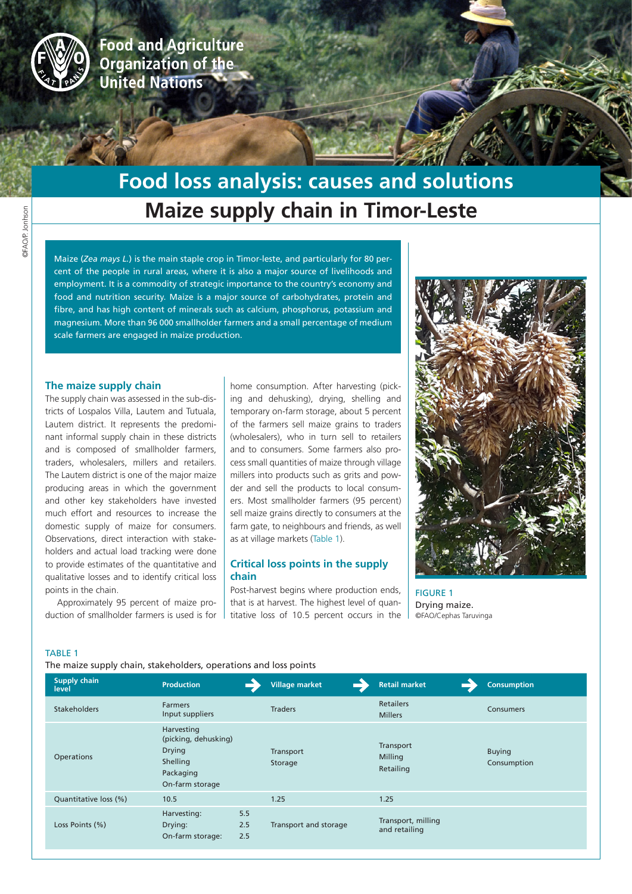

**Food and Agriculture** Organization of the **United Nations** 

# **Maize supply chain in Timor-Leste Food loss analysis: causes and solutions**

Maize (*Zea mays L.*) is the main staple crop in Timor-leste, and particularly for 80 percent of the people in rural areas, where it is also a major source of livelihoods and employment. It is a commodity of strategic importance to the country's economy and food and nutrition security. Maize is a major source of carbohydrates, protein and fibre, and has high content of minerals such as calcium, phosphorus, potassium and magnesium. More than 96 000 smallholder farmers and a small percentage of medium scale farmers are engaged in maize production.

#### **The maize supply chain**

The supply chain was assessed in the sub-districts of Lospalos Villa, Lautem and Tutuala, Lautem district. It represents the predominant informal supply chain in these districts and is composed of smallholder farmers, traders, wholesalers, millers and retailers. The Lautem district is one of the major maize producing areas in which the government and other key stakeholders have invested much effort and resources to increase the domestic supply of maize for consumers. Observations, direct interaction with stakeholders and actual load tracking were done to provide estimates of the quantitative and qualitative losses and to identify critical loss points in the chain.

Approximately 95 percent of maize production of smallholder farmers is used is for home consumption. After harvesting (picking and dehusking), drying, shelling and temporary on-farm storage, about 5 percent of the farmers sell maize grains to traders (wholesalers), who in turn sell to retailers and to consumers. Some farmers also process small quantities of maize through village millers into products such as grits and powder and sell the products to local consumers. Most smallholder farmers (95 percent) sell maize grains directly to consumers at the farm gate, to neighbours and friends, as well as at village markets (Table 1).

# **Critical loss points in the supply chain**

Post-harvest begins where production ends, that is at harvest. The highest level of quantitative loss of 10.5 percent occurs in the



FIGURE 1 Drying maize. ©FAO/Cephas Taruvinga

#### TABLE 1

The maize supply chain, stakeholders, operations and loss points

| Supply chain<br>level | <b>Production</b>                                                                               | <b>Village market</b> | <b>Retail market</b>                | <b>Consumption</b>           |
|-----------------------|-------------------------------------------------------------------------------------------------|-----------------------|-------------------------------------|------------------------------|
| <b>Stakeholders</b>   | <b>Farmers</b><br>Input suppliers                                                               | <b>Traders</b>        | <b>Retailers</b><br><b>Millers</b>  | <b>Consumers</b>             |
| <b>Operations</b>     | Harvesting<br>(picking, dehusking)<br><b>Drying</b><br>Shelling<br>Packaging<br>On-farm storage | Transport<br>Storage  | Transport<br>Milling<br>Retailing   | <b>Buying</b><br>Consumption |
| Quantitative loss (%) | 10.5                                                                                            | 1.25                  | 1.25                                |                              |
| Loss Points (%)       | 5.5<br>Harvesting:<br>2.5<br>Drying:<br>2.5<br>On-farm storage:                                 | Transport and storage | Transport, milling<br>and retailing |                              |